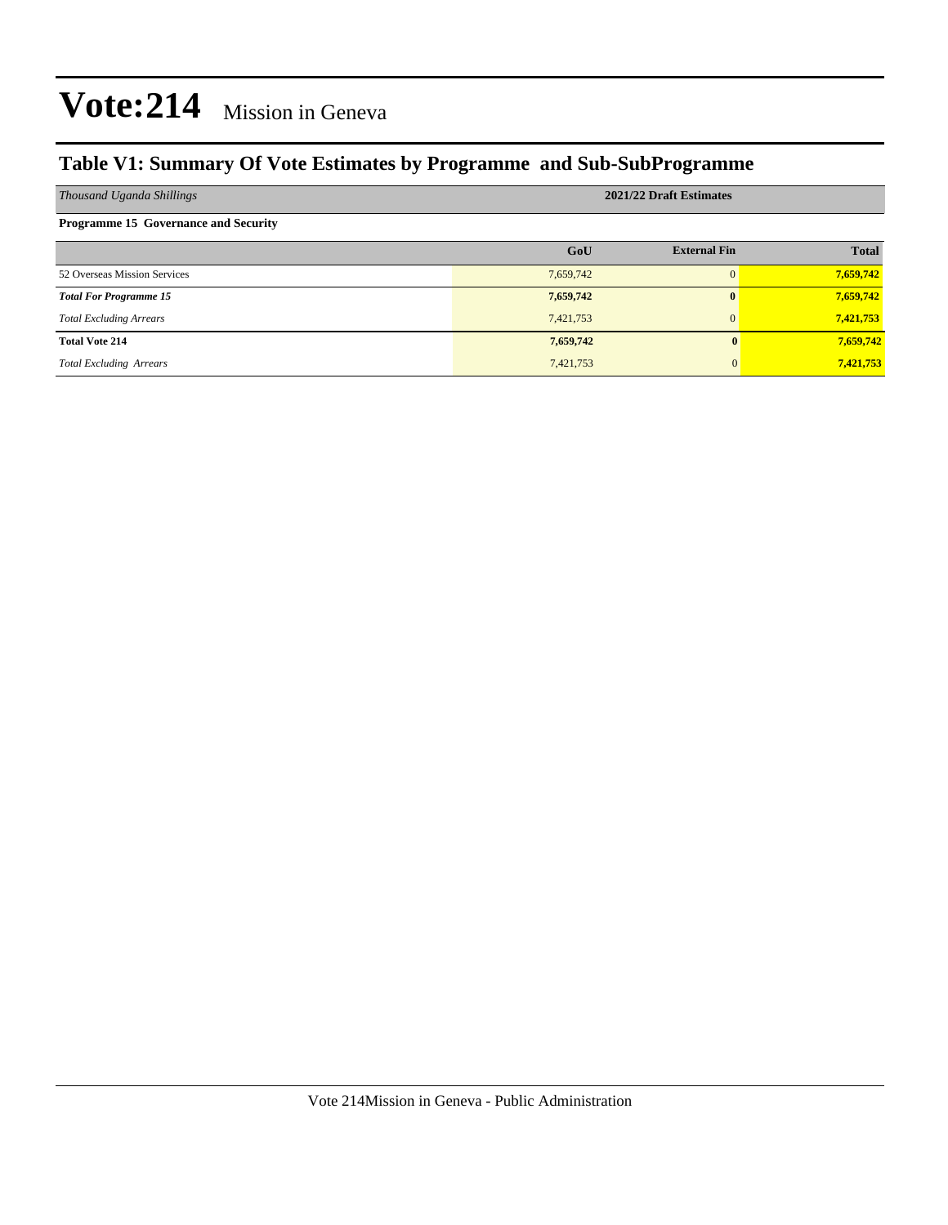#### **Table V1: Summary Of Vote Estimates by Programme and Sub-SubProgramme**

| Thousand Uganda Shillings                   | 2021/22 Draft Estimates |                     |              |  |  |  |
|---------------------------------------------|-------------------------|---------------------|--------------|--|--|--|
| <b>Programme 15 Governance and Security</b> |                         |                     |              |  |  |  |
|                                             | GoU                     | <b>External Fin</b> | <b>Total</b> |  |  |  |
| 52 Overseas Mission Services                | 7,659,742               | $\Omega$            | 7,659,742    |  |  |  |
| <b>Total For Programme 15</b>               | 7,659,742               | $\mathbf{0}$        | 7,659,742    |  |  |  |
| <b>Total Excluding Arrears</b>              | 7,421,753               | $\Omega$            | 7,421,753    |  |  |  |
| <b>Total Vote 214</b>                       | 7,659,742               |                     | 7,659,742    |  |  |  |
| <b>Total Excluding Arrears</b>              | 7,421,753               |                     | 7,421,753    |  |  |  |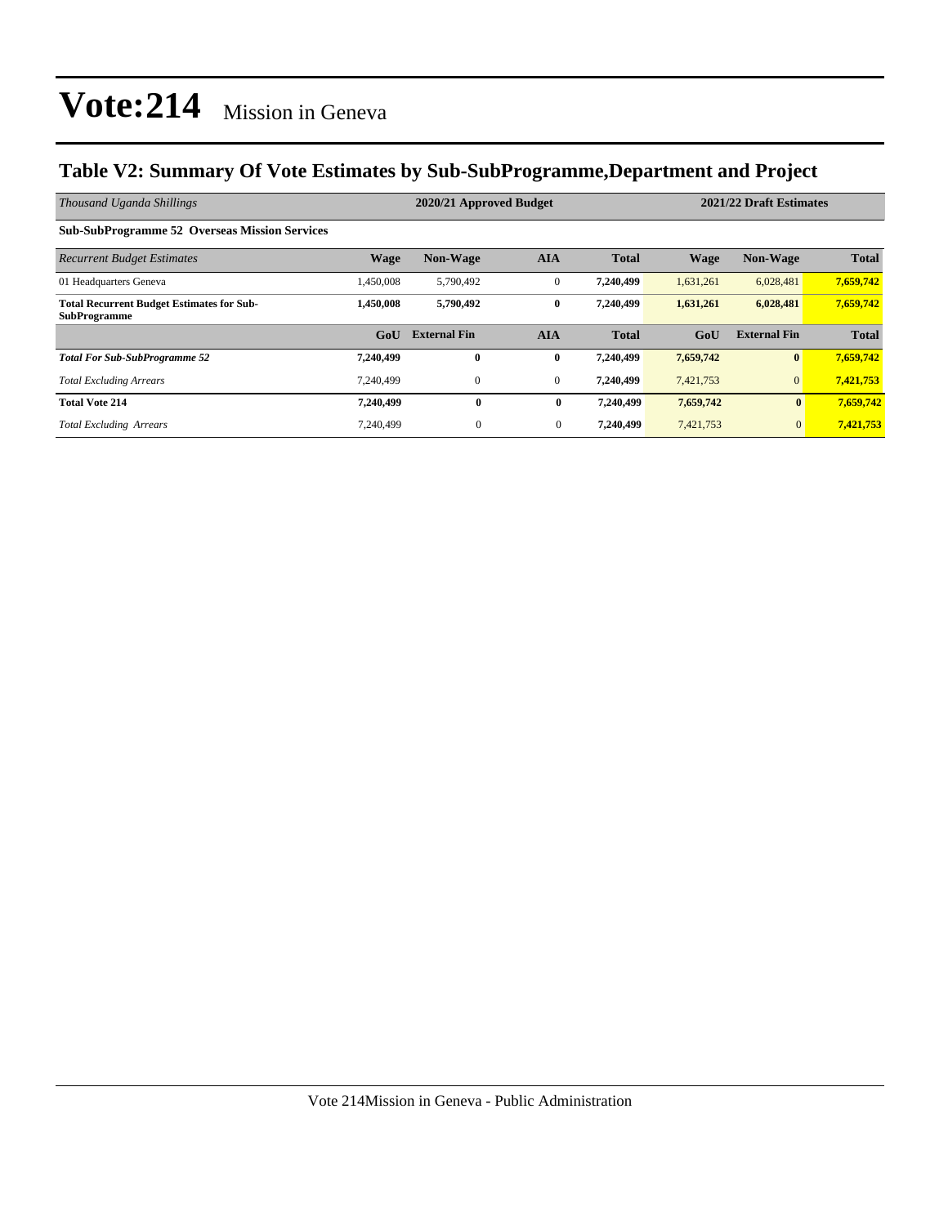#### **Table V2: Summary Of Vote Estimates by Sub-SubProgramme,Department and Project**

| Thousand Uganda Shillings                                               | 2020/21 Approved Budget |                     |                |              |             | 2021/22 Draft Estimates |              |  |
|-------------------------------------------------------------------------|-------------------------|---------------------|----------------|--------------|-------------|-------------------------|--------------|--|
| <b>Sub-SubProgramme 52 Overseas Mission Services</b>                    |                         |                     |                |              |             |                         |              |  |
| <b>Recurrent Budget Estimates</b>                                       | <b>Wage</b>             | <b>Non-Wage</b>     | <b>AIA</b>     | <b>Total</b> | <b>Wage</b> | <b>Non-Wage</b>         | <b>Total</b> |  |
| 01 Headquarters Geneva                                                  | 1,450,008               | 5,790,492           | $\overline{0}$ | 7,240,499    | 1,631,261   | 6,028,481               | 7,659,742    |  |
| <b>Total Recurrent Budget Estimates for Sub-</b><br><b>SubProgramme</b> | 1,450,008               | 5,790,492           | $\bf{0}$       | 7,240,499    | 1,631,261   | 6,028,481               | 7,659,742    |  |
|                                                                         | GoU                     | <b>External Fin</b> | <b>AIA</b>     | <b>Total</b> | GoU         | <b>External Fin</b>     | <b>Total</b> |  |
| <b>Total For Sub-SubProgramme 52</b>                                    | 7,240,499               | $\bf{0}$            | $\bf{0}$       | 7,240,499    | 7,659,742   | $\boldsymbol{0}$        | 7,659,742    |  |
| <b>Total Excluding Arrears</b>                                          | 7.240.499               | $\mathbf{0}$        | $\overline{0}$ | 7,240,499    | 7,421,753   | $\mathbf{0}$            | 7,421,753    |  |
| <b>Total Vote 214</b>                                                   | 7,240,499               | $\bf{0}$            | $\bf{0}$       | 7,240,499    | 7,659,742   | $\bf{0}$                | 7,659,742    |  |
| <b>Total Excluding Arrears</b>                                          | 7.240.499               | $\overline{0}$      | $\mathbf{0}$   | 7,240,499    | 7,421,753   | $\mathbf{0}$            | 7,421,753    |  |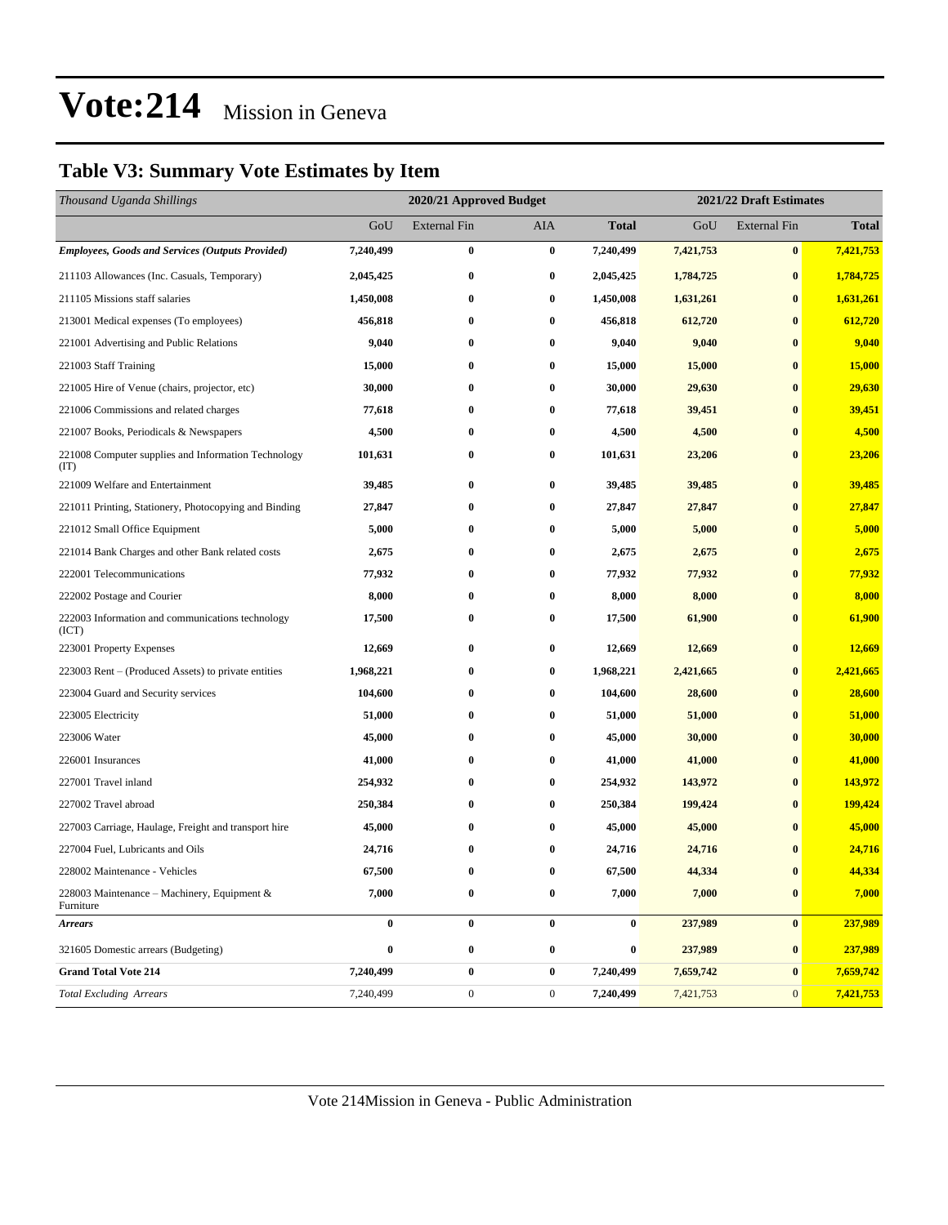#### **Table V3: Summary Vote Estimates by Item**

| Thousand Uganda Shillings                                   |                  | 2020/21 Approved Budget |                  | 2021/22 Draft Estimates |           |                     |              |
|-------------------------------------------------------------|------------------|-------------------------|------------------|-------------------------|-----------|---------------------|--------------|
|                                                             | GoU              | <b>External Fin</b>     | <b>AIA</b>       | <b>Total</b>            | GoU       | <b>External Fin</b> | <b>Total</b> |
| <b>Employees, Goods and Services (Outputs Provided)</b>     | 7,240,499        | $\bf{0}$                | $\bf{0}$         | 7,240,499               | 7,421,753 | $\bf{0}$            | 7,421,753    |
| 211103 Allowances (Inc. Casuals, Temporary)                 | 2,045,425        | $\bf{0}$                | 0                | 2,045,425               | 1,784,725 | $\bf{0}$            | 1,784,725    |
| 211105 Missions staff salaries                              | 1,450,008        | $\bf{0}$                | $\bf{0}$         | 1,450,008               | 1,631,261 | $\bf{0}$            | 1,631,261    |
| 213001 Medical expenses (To employees)                      | 456,818          | $\bf{0}$                | $\bf{0}$         | 456,818                 | 612,720   | $\bf{0}$            | 612,720      |
| 221001 Advertising and Public Relations                     | 9,040            | $\bf{0}$                | $\bf{0}$         | 9,040                   | 9,040     | $\bf{0}$            | 9,040        |
| 221003 Staff Training                                       | 15,000           | $\bf{0}$                | $\bf{0}$         | 15,000                  | 15,000    | $\bf{0}$            | 15,000       |
| 221005 Hire of Venue (chairs, projector, etc)               | 30,000           | $\bf{0}$                | 0                | 30,000                  | 29,630    | $\bf{0}$            | 29,630       |
| 221006 Commissions and related charges                      | 77,618           | $\bf{0}$                | $\bf{0}$         | 77,618                  | 39,451    | $\bf{0}$            | 39,451       |
| 221007 Books, Periodicals & Newspapers                      | 4,500            | $\bf{0}$                | $\bf{0}$         | 4,500                   | 4,500     | $\bf{0}$            | 4,500        |
| 221008 Computer supplies and Information Technology<br>(TT) | 101,631          | $\bf{0}$                | $\bf{0}$         | 101,631                 | 23,206    | $\bf{0}$            | 23,206       |
| 221009 Welfare and Entertainment                            | 39,485           | $\bf{0}$                | $\bf{0}$         | 39,485                  | 39,485    | $\bf{0}$            | 39,485       |
| 221011 Printing, Stationery, Photocopying and Binding       | 27,847           | $\bf{0}$                | $\bf{0}$         | 27,847                  | 27,847    | $\bf{0}$            | 27,847       |
| 221012 Small Office Equipment                               | 5,000            | $\bf{0}$                | $\bf{0}$         | 5,000                   | 5,000     | $\bf{0}$            | 5,000        |
| 221014 Bank Charges and other Bank related costs            | 2,675            | $\bf{0}$                | $\bf{0}$         | 2,675                   | 2,675     | $\bf{0}$            | 2,675        |
| 222001 Telecommunications                                   | 77,932           | $\bf{0}$                | $\bf{0}$         | 77,932                  | 77,932    | $\bf{0}$            | 77,932       |
| 222002 Postage and Courier                                  | 8,000            | $\bf{0}$                | $\bf{0}$         | 8,000                   | 8,000     | $\bf{0}$            | 8,000        |
| 222003 Information and communications technology<br>(ICT)   | 17,500           | $\bf{0}$                | $\bf{0}$         | 17,500                  | 61,900    | $\bf{0}$            | 61,900       |
| 223001 Property Expenses                                    | 12,669           | $\bf{0}$                | $\boldsymbol{0}$ | 12,669                  | 12,669    | $\bf{0}$            | 12,669       |
| 223003 Rent – (Produced Assets) to private entities         | 1,968,221        | $\bf{0}$                | $\bf{0}$         | 1,968,221               | 2,421,665 | $\bf{0}$            | 2,421,665    |
| 223004 Guard and Security services                          | 104,600          | $\bf{0}$                | $\bf{0}$         | 104,600                 | 28,600    | $\bf{0}$            | 28,600       |
| 223005 Electricity                                          | 51,000           | $\bf{0}$                | $\bf{0}$         | 51,000                  | 51,000    | $\bf{0}$            | 51,000       |
| 223006 Water                                                | 45,000           | $\bf{0}$                | $\bf{0}$         | 45,000                  | 30,000    | $\bf{0}$            | 30,000       |
| 226001 Insurances                                           | 41,000           | $\bf{0}$                | $\bf{0}$         | 41,000                  | 41,000    | $\bf{0}$            | 41,000       |
| 227001 Travel inland                                        | 254,932          | $\bf{0}$                | $\bf{0}$         | 254,932                 | 143,972   | $\bf{0}$            | 143,972      |
| 227002 Travel abroad                                        | 250,384          | $\bf{0}$                | $\bf{0}$         | 250,384                 | 199,424   | $\bf{0}$            | 199,424      |
| 227003 Carriage, Haulage, Freight and transport hire        | 45,000           | $\bf{0}$                | $\bf{0}$         | 45,000                  | 45,000    | $\bf{0}$            | 45,000       |
| 227004 Fuel, Lubricants and Oils                            | 24,716           | $\bf{0}$                | $\bf{0}$         | 24,716                  | 24,716    | $\bf{0}$            | 24,716       |
| 228002 Maintenance - Vehicles                               | 67,500           | $\bf{0}$                | $\bf{0}$         | 67,500                  | 44,334    | $\bf{0}$            | 44,334       |
| 228003 Maintenance - Machinery, Equipment &<br>Furniture    | 7,000            | $\bf{0}$                | $\bf{0}$         | 7,000                   | 7,000     | $\bf{0}$            | 7,000        |
| <b>Arrears</b>                                              | $\pmb{0}$        | $\bf{0}$                | $\bf{0}$         | $\bf{0}$                | 237,989   | $\bf{0}$            | 237,989      |
| 321605 Domestic arrears (Budgeting)                         | $\boldsymbol{0}$ | $\bf{0}$                | $\bf{0}$         | $\boldsymbol{0}$        | 237,989   | $\bf{0}$            | 237,989      |
| <b>Grand Total Vote 214</b>                                 | 7,240,499        | $\bf{0}$                | $\bf{0}$         | 7,240,499               | 7,659,742 | $\bf{0}$            | 7,659,742    |
| <b>Total Excluding Arrears</b>                              | 7,240,499        | $\boldsymbol{0}$        | $\boldsymbol{0}$ | 7,240,499               | 7,421,753 | $\mathbf{0}$        | 7,421,753    |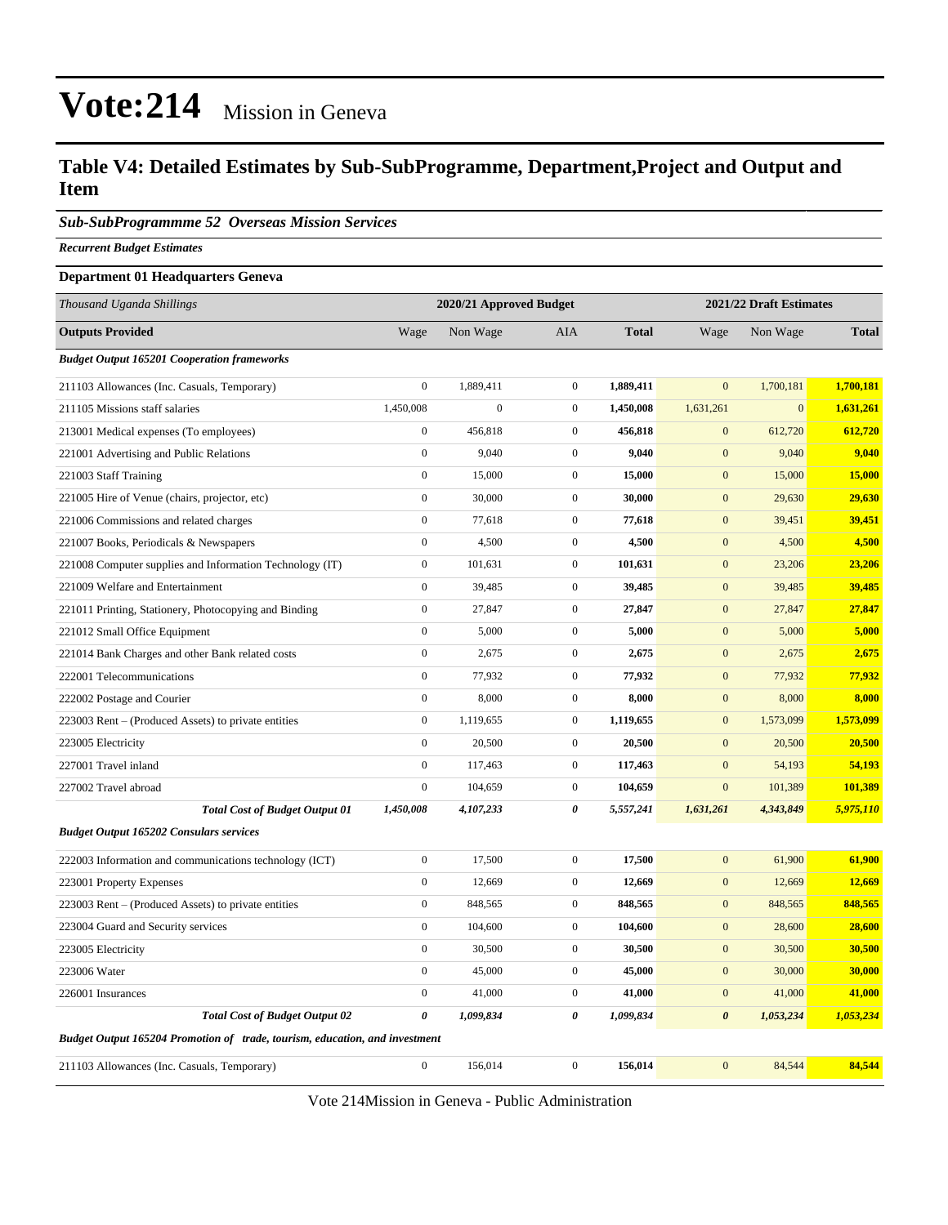#### **Table V4: Detailed Estimates by Sub-SubProgramme, Department,Project and Output and Item**

*Sub-SubProgrammme 52 Overseas Mission Services*

*Recurrent Budget Estimates*

#### **Department 01 Headquarters Geneva**

| Thousand Uganda Shillings                                                   | 2020/21 Approved Budget |                  |                  | 2021/22 Draft Estimates |                       |              |              |
|-----------------------------------------------------------------------------|-------------------------|------------------|------------------|-------------------------|-----------------------|--------------|--------------|
| <b>Outputs Provided</b>                                                     | Wage                    | Non Wage         | <b>AIA</b>       | <b>Total</b>            | Wage                  | Non Wage     | <b>Total</b> |
| <b>Budget Output 165201 Cooperation frameworks</b>                          |                         |                  |                  |                         |                       |              |              |
| 211103 Allowances (Inc. Casuals, Temporary)                                 | $\mathbf{0}$            | 1,889,411        | $\mathbf 0$      | 1,889,411               | $\mathbf{0}$          | 1,700,181    | 1,700,181    |
| 211105 Missions staff salaries                                              | 1,450,008               | $\boldsymbol{0}$ | $\boldsymbol{0}$ | 1,450,008               | 1,631,261             | $\mathbf{0}$ | 1,631,261    |
| 213001 Medical expenses (To employees)                                      | $\overline{0}$          | 456,818          | $\mathbf{0}$     | 456,818                 | $\overline{0}$        | 612,720      | 612,720      |
| 221001 Advertising and Public Relations                                     | $\boldsymbol{0}$        | 9,040            | $\boldsymbol{0}$ | 9,040                   | $\mathbf{0}$          | 9,040        | 9,040        |
| 221003 Staff Training                                                       | $\mathbf{0}$            | 15,000           | $\boldsymbol{0}$ | 15,000                  | $\mathbf{0}$          | 15,000       | 15,000       |
| 221005 Hire of Venue (chairs, projector, etc)                               | $\boldsymbol{0}$        | 30,000           | $\boldsymbol{0}$ | 30,000                  | $\mathbf{0}$          | 29,630       | 29,630       |
| 221006 Commissions and related charges                                      | $\boldsymbol{0}$        | 77,618           | $\boldsymbol{0}$ | 77,618                  | $\mathbf{0}$          | 39,451       | 39,451       |
| 221007 Books, Periodicals & Newspapers                                      | $\boldsymbol{0}$        | 4,500            | $\boldsymbol{0}$ | 4,500                   | $\mathbf{0}$          | 4,500        | 4,500        |
| 221008 Computer supplies and Information Technology (IT)                    | $\boldsymbol{0}$        | 101,631          | $\boldsymbol{0}$ | 101,631                 | $\boldsymbol{0}$      | 23,206       | 23,206       |
| 221009 Welfare and Entertainment                                            | $\mathbf{0}$            | 39,485           | $\boldsymbol{0}$ | 39,485                  | $\boldsymbol{0}$      | 39,485       | 39,485       |
| 221011 Printing, Stationery, Photocopying and Binding                       | $\boldsymbol{0}$        | 27,847           | $\boldsymbol{0}$ | 27,847                  | $\mathbf{0}$          | 27,847       | 27,847       |
| 221012 Small Office Equipment                                               | $\boldsymbol{0}$        | 5,000            | $\boldsymbol{0}$ | 5,000                   | $\mathbf{0}$          | 5,000        | 5,000        |
| 221014 Bank Charges and other Bank related costs                            | $\boldsymbol{0}$        | 2,675            | $\boldsymbol{0}$ | 2,675                   | $\mathbf{0}$          | 2,675        | 2,675        |
| 222001 Telecommunications                                                   | $\boldsymbol{0}$        | 77,932           | $\boldsymbol{0}$ | 77,932                  | $\boldsymbol{0}$      | 77,932       | 77,932       |
| 222002 Postage and Courier                                                  | $\boldsymbol{0}$        | 8,000            | $\boldsymbol{0}$ | 8,000                   | $\mathbf{0}$          | 8,000        | 8,000        |
| 223003 Rent – (Produced Assets) to private entities                         | $\mathbf{0}$            | 1,119,655        | $\boldsymbol{0}$ | 1,119,655               | $\boldsymbol{0}$      | 1,573,099    | 1,573,099    |
| 223005 Electricity                                                          | $\mathbf{0}$            | 20,500           | $\boldsymbol{0}$ | 20,500                  | $\boldsymbol{0}$      | 20,500       | 20,500       |
| 227001 Travel inland                                                        | $\boldsymbol{0}$        | 117,463          | $\boldsymbol{0}$ | 117,463                 | $\mathbf{0}$          | 54,193       | 54,193       |
| 227002 Travel abroad                                                        | $\boldsymbol{0}$        | 104,659          | $\boldsymbol{0}$ | 104,659                 | $\mathbf{0}$          | 101,389      | 101,389      |
| <b>Total Cost of Budget Output 01</b>                                       | 1,450,008               | 4,107,233        | 0                | 5,557,241               | 1,631,261             | 4,343,849    | 5,975,110    |
| <b>Budget Output 165202 Consulars services</b>                              |                         |                  |                  |                         |                       |              |              |
| 222003 Information and communications technology (ICT)                      | $\boldsymbol{0}$        | 17,500           | $\mathbf 0$      | 17,500                  | $\overline{0}$        | 61,900       | 61,900       |
| 223001 Property Expenses                                                    | $\boldsymbol{0}$        | 12,669           | $\boldsymbol{0}$ | 12,669                  | $\boldsymbol{0}$      | 12,669       | 12,669       |
| 223003 Rent – (Produced Assets) to private entities                         | $\mathbf{0}$            | 848,565          | $\boldsymbol{0}$ | 848,565                 | $\boldsymbol{0}$      | 848,565      | 848,565      |
| 223004 Guard and Security services                                          | $\boldsymbol{0}$        | 104,600          | $\boldsymbol{0}$ | 104,600                 | $\boldsymbol{0}$      | 28,600       | 28,600       |
| 223005 Electricity                                                          | $\boldsymbol{0}$        | 30,500           | $\boldsymbol{0}$ | 30,500                  | $\mathbf{0}$          | 30,500       | 30,500       |
| 223006 Water                                                                | $\boldsymbol{0}$        | 45,000           | $\boldsymbol{0}$ | 45,000                  | $\mathbf{0}$          | 30,000       | 30,000       |
| 226001 Insurances                                                           | $\boldsymbol{0}$        | 41,000           | $\boldsymbol{0}$ | 41,000                  | $\boldsymbol{0}$      | 41,000       | 41,000       |
| <b>Total Cost of Budget Output 02</b>                                       | $\boldsymbol{\theta}$   | 1,099,834        | 0                | 1,099,834               | $\boldsymbol{\theta}$ | 1,053,234    | 1,053,234    |
| Budget Output 165204 Promotion of trade, tourism, education, and investment |                         |                  |                  |                         |                       |              |              |
| 211103 Allowances (Inc. Casuals, Temporary)                                 | $\boldsymbol{0}$        | 156,014          | $\boldsymbol{0}$ | 156,014                 | $\mathbf{0}$          | 84,544       | 84,544       |

Vote 214Mission in Geneva - Public Administration